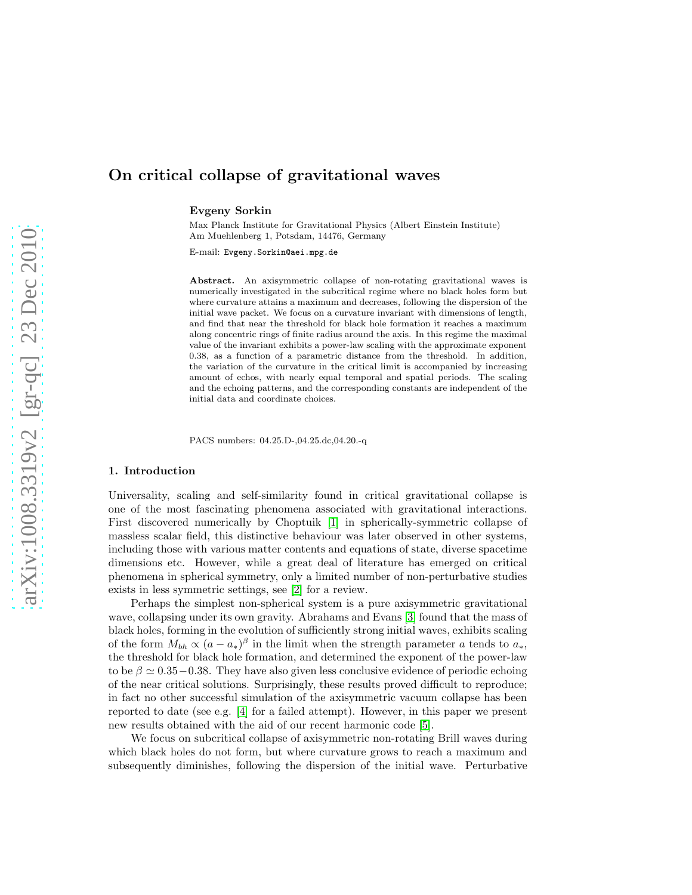# On critical collapse of gravitational waves

Evgeny Sorkin

Max Planck Institute for Gravitational Physics (Albert Einstein Institute) Am Muehlenberg 1, Potsdam, 14476, Germany

E-mail: Evgeny.Sorkin@aei.mpg.de

Abstract. An axisymmetric collapse of non-rotating gravitational waves is numerically investigated in the subcritical regime where no black holes form but where curvature attains a maximum and decreases, following the dispersion of the initial wave packet. We focus on a curvature invariant with dimensions of length, and find that near the threshold for black hole formation it reaches a maximum along concentric rings of finite radius around the axis. In this regime the maximal value of the invariant exhibits a power-law scaling with the approximate exponent 0.38, as a function of a parametric distance from the threshold. In addition, the variation of the curvature in the critical limit is accompanied by increasing amount of echos, with nearly equal temporal and spatial periods. The scaling and the echoing patterns, and the corresponding constants are independent of the initial data and coordinate choices.

PACS numbers: 04.25.D-,04.25.dc,04.20.-q

## 1. Introduction

Universality, scaling and self-similarity found in critical gravitational collapse is one of the most fascinating phenomena associated with gravitational interactions. First discovered numerically by Choptuik [\[1\]](#page-13-0) in spherically-symmetric collapse of massless scalar field, this distinctive behaviour was later observed in other systems, including those with various matter contents and equations of state, diverse spacetime dimensions etc. However, while a great deal of literature has emerged on critical phenomena in spherical symmetry, only a limited number of non-perturbative studies exists in less symmetric settings, see [\[2\]](#page-13-1) for a review.

Perhaps the simplest non-spherical system is a pure axisymmetric gravitational wave, collapsing under its own gravity. Abrahams and Evans [\[3\]](#page-13-2) found that the mass of black holes, forming in the evolution of sufficiently strong initial waves, exhibits scaling of the form  $M_{bh} \propto (a - a_*)^{\beta}$  in the limit when the strength parameter a tends to  $a_*$ , the threshold for black hole formation, and determined the exponent of the power-law to be  $\beta \simeq 0.35-0.38$ . They have also given less conclusive evidence of periodic echoing of the near critical solutions. Surprisingly, these results proved difficult to reproduce; in fact no other successful simulation of the axisymmetric vacuum collapse has been reported to date (see e.g. [\[4\]](#page-13-3) for a failed attempt). However, in this paper we present new results obtained with the aid of our recent harmonic code [\[5\]](#page-13-4).

We focus on subcritical collapse of axisymmetric non-rotating Brill waves during which black holes do not form, but where curvature grows to reach a maximum and subsequently diminishes, following the dispersion of the initial wave. Perturbative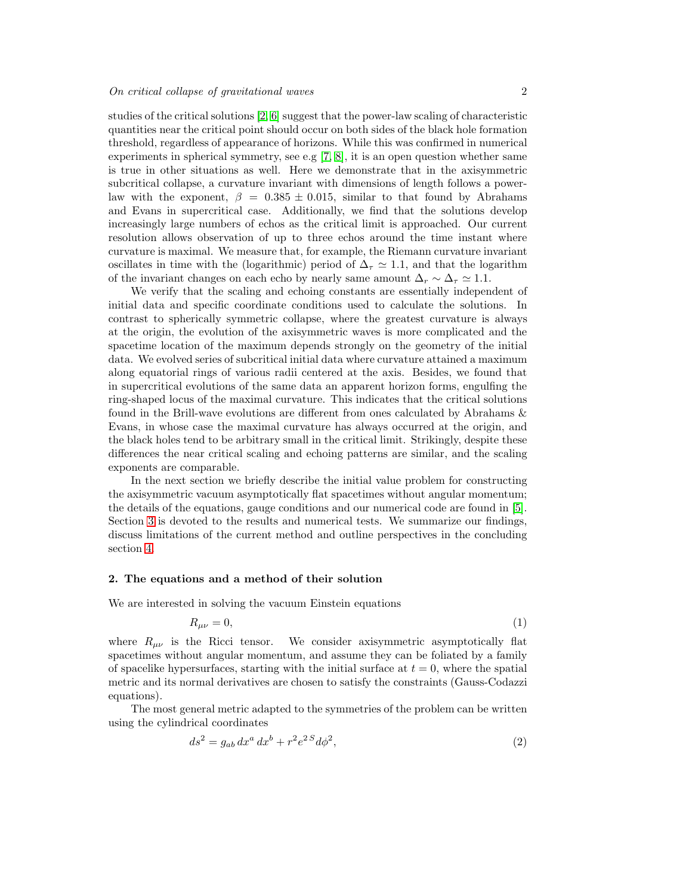studies of the critical solutions [\[2,](#page-13-1) [6\]](#page-13-5) suggest that the power-law scaling of characteristic quantities near the critical point should occur on both sides of the black hole formation threshold, regardless of appearance of horizons. While this was confirmed in numerical experiments in spherical symmetry, see e.g  $[7, 8]$  $[7, 8]$ , it is an open question whether same is true in other situations as well. Here we demonstrate that in the axisymmetric subcritical collapse, a curvature invariant with dimensions of length follows a powerlaw with the exponent,  $\beta = 0.385 \pm 0.015$ , similar to that found by Abrahams and Evans in supercritical case. Additionally, we find that the solutions develop increasingly large numbers of echos as the critical limit is approached. Our current resolution allows observation of up to three echos around the time instant where curvature is maximal. We measure that, for example, the Riemann curvature invariant oscillates in time with the (logarithmic) period of  $\Delta_{\tau} \simeq 1.1$ , and that the logarithm of the invariant changes on each echo by nearly same amount  $\Delta_r \sim \Delta_{\tau} \simeq 1.1$ .

We verify that the scaling and echoing constants are essentially independent of initial data and specific coordinate conditions used to calculate the solutions. In contrast to spherically symmetric collapse, where the greatest curvature is always at the origin, the evolution of the axisymmetric waves is more complicated and the spacetime location of the maximum depends strongly on the geometry of the initial data. We evolved series of subcritical initial data where curvature attained a maximum along equatorial rings of various radii centered at the axis. Besides, we found that in supercritical evolutions of the same data an apparent horizon forms, engulfing the ring-shaped locus of the maximal curvature. This indicates that the critical solutions found in the Brill-wave evolutions are different from ones calculated by Abrahams & Evans, in whose case the maximal curvature has always occurred at the origin, and the black holes tend to be arbitrary small in the critical limit. Strikingly, despite these differences the near critical scaling and echoing patterns are similar, and the scaling exponents are comparable.

In the next section we briefly describe the initial value problem for constructing the axisymmetric vacuum asymptotically flat spacetimes without angular momentum; the details of the equations, gauge conditions and our numerical code are found in [\[5\]](#page-13-4). Section [3](#page-4-0) is devoted to the results and numerical tests. We summarize our findings, discuss limitations of the current method and outline perspectives in the concluding section [4.](#page-11-0)

## 2. The equations and a method of their solution

We are interested in solving the vacuum Einstein equations

<span id="page-1-0"></span>
$$
R_{\mu\nu} = 0,\tag{1}
$$

where  $R_{\mu\nu}$  is the Ricci tensor. We consider axisymmetric asymptotically flat spacetimes without angular momentum, and assume they can be foliated by a family of spacelike hypersurfaces, starting with the initial surface at  $t = 0$ , where the spatial metric and its normal derivatives are chosen to satisfy the constraints (Gauss-Codazzi equations).

The most general metric adapted to the symmetries of the problem can be written using the cylindrical coordinates

$$
ds^2 = g_{ab} dx^a dx^b + r^2 e^{2S} d\phi^2,
$$
\n(2)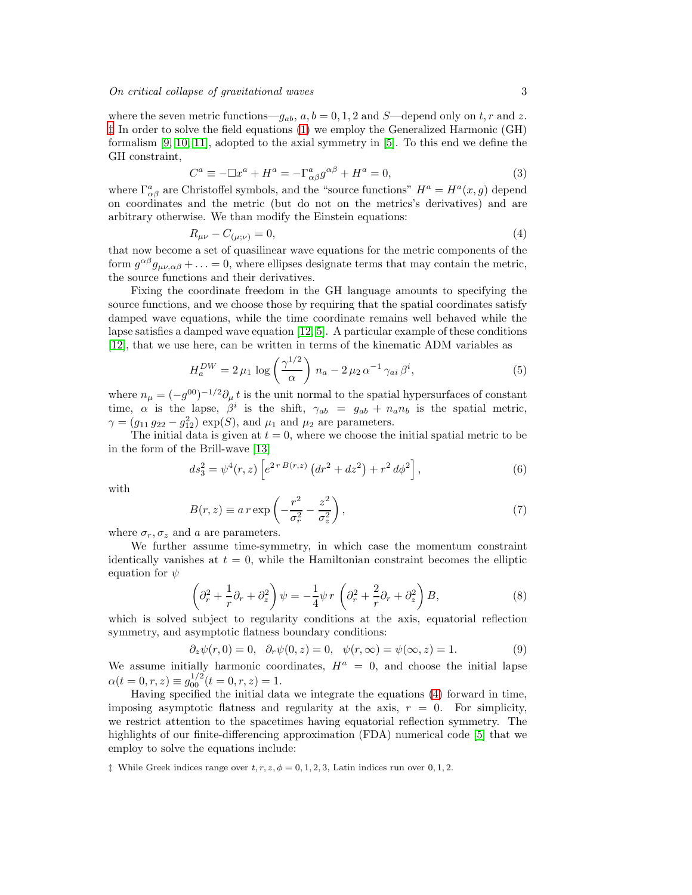where the seven metric functions— $g_{ab}$ ,  $a, b = 0, 1, 2$  and S—depend only on t, r and z. [‡](#page-2-0) In order to solve the field equations [\(1\)](#page-1-0) we employ the Generalized Harmonic (GH) formalism [\[9,](#page-13-8) [10,](#page-13-9) [11\]](#page-13-10), adopted to the axial symmetry in [\[5\]](#page-13-4). To this end we define the GH constraint,

$$
C^{a} \equiv -\Box x^{a} + H^{a} = -\Gamma^{a}_{\alpha\beta}g^{\alpha\beta} + H^{a} = 0,
$$
\n(3)

where  $\Gamma^a_{\alpha\beta}$  are Christoffel symbols, and the "source functions"  $H^a = H^a(x, g)$  depend on coordinates and the metric (but do not on the metrics's derivatives) and are arbitrary otherwise. We than modify the Einstein equations:

<span id="page-2-1"></span>
$$
R_{\mu\nu} - C_{(\mu;\nu)} = 0,\t\t(4)
$$

that now become a set of quasilinear wave equations for the metric components of the form  $g^{\alpha\beta}g_{\mu\nu,\alpha\beta} + \ldots = 0$ , where ellipses designate terms that may contain the metric, the source functions and their derivatives.

Fixing the coordinate freedom in the GH language amounts to specifying the source functions, and we choose those by requiring that the spatial coordinates satisfy damped wave equations, while the time coordinate remains well behaved while the lapse satisfies a damped wave equation [\[12,](#page-13-11) [5\]](#page-13-4). A particular example of these conditions [\[12\]](#page-13-11), that we use here, can be written in terms of the kinematic ADM variables as

<span id="page-2-4"></span>
$$
H_a^{DW} = 2 \,\mu_1 \, \log \left( \frac{\gamma^{1/2}}{\alpha} \right) \, n_a - 2 \,\mu_2 \, \alpha^{-1} \, \gamma_{ai} \, \beta^i,\tag{5}
$$

where  $n_{\mu} = (-g^{00})^{-1/2} \partial_{\mu} t$  is the unit normal to the spatial hypersurfaces of constant time,  $\alpha$  is the lapse,  $\beta^i$  is the shift,  $\gamma_{ab} = g_{ab} + n_a n_b$  is the spatial metric,  $\gamma = (g_{11} g_{22} - g_{12}^2) \exp(S)$ , and  $\mu_1$  and  $\mu_2$  are parameters.

The initial data is given at  $t = 0$ , where we choose the initial spatial metric to be in the form of the Brill-wave [\[13\]](#page-13-12)

<span id="page-2-2"></span>
$$
ds_3^2 = \psi^4(r, z) \left[ e^{2r B(r, z)} \left( dr^2 + dz^2 \right) + r^2 d\phi^2 \right],\tag{6}
$$

with

<span id="page-2-3"></span>
$$
B(r,z) \equiv a r \exp\left(-\frac{r^2}{\sigma_r^2} - \frac{z^2}{\sigma_z^2}\right),\tag{7}
$$

where  $\sigma_r$ ,  $\sigma_z$  and a are parameters.

We further assume time-symmetry, in which case the momentum constraint identically vanishes at  $t = 0$ , while the Hamiltonian constraint becomes the elliptic equation for  $\psi$ 

$$
\left(\partial_r^2 + \frac{1}{r}\partial_r + \partial_z^2\right)\psi = -\frac{1}{4}\psi r \left(\partial_r^2 + \frac{2}{r}\partial_r + \partial_z^2\right)B,\tag{8}
$$

which is solved subject to regularity conditions at the axis, equatorial reflection symmetry, and asymptotic flatness boundary conditions:

$$
\partial_z \psi(r,0) = 0, \quad \partial_r \psi(0,z) = 0, \quad \psi(r,\infty) = \psi(\infty,z) = 1. \tag{9}
$$

We assume initially harmonic coordinates,  $H^a = 0$ , and choose the initial lapse  $\alpha(t=0,r,z) \equiv g_{00}^{1/2}(t=0,r,z) = 1.$ 

Having specified the initial data we integrate the equations [\(4\)](#page-2-1) forward in time, imposing asymptotic flatness and regularity at the axis,  $r = 0$ . For simplicity, we restrict attention to the spacetimes having equatorial reflection symmetry. The highlights of our finite-differencing approximation (FDA) numerical code [\[5\]](#page-13-4) that we employ to solve the equations include:

<span id="page-2-0"></span><sup> $\ddagger$ </sup> While Greek indices range over  $t, r, z, \phi = 0, 1, 2, 3$ , Latin indices run over 0, 1, 2.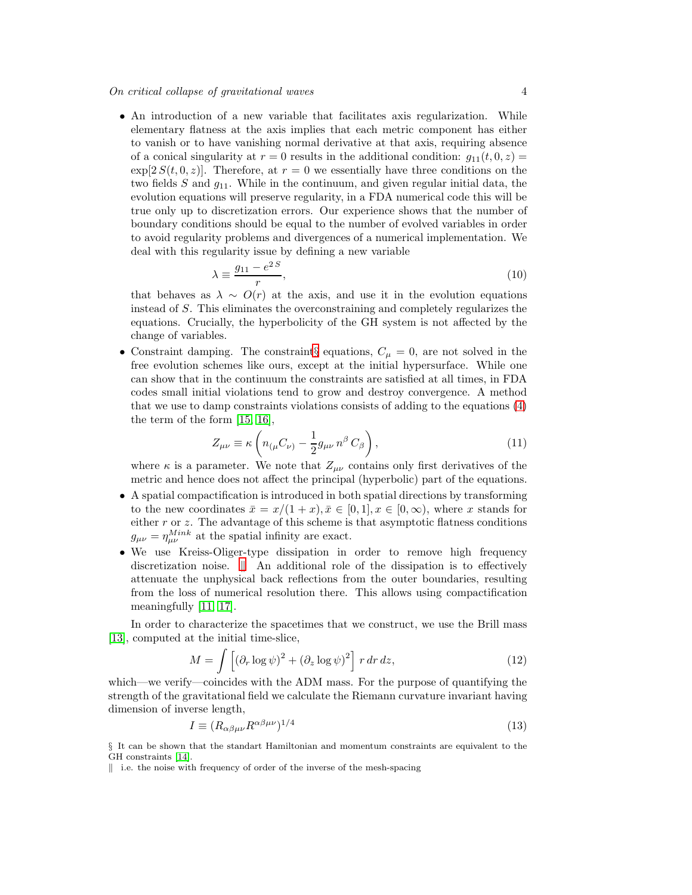## On critical collapse of gravitational waves 4

• An introduction of a new variable that facilitates axis regularization. While elementary flatness at the axis implies that each metric component has either to vanish or to have vanishing normal derivative at that axis, requiring absence of a conical singularity at  $r = 0$  results in the additional condition:  $q_{11}(t, 0, z) =$  $\exp[2 S(t, 0, z)].$  Therefore, at  $r = 0$  we essentially have three conditions on the two fields S and  $g_{11}$ . While in the continuum, and given regular initial data, the evolution equations will preserve regularity, in a FDA numerical code this will be true only up to discretization errors. Our experience shows that the number of boundary conditions should be equal to the number of evolved variables in order to avoid regularity problems and divergences of a numerical implementation. We deal with this regularity issue by defining a new variable

$$
\lambda \equiv \frac{g_{11} - e^{2S}}{r},\tag{10}
$$

that behaves as  $\lambda \sim O(r)$  at the axis, and use it in the evolution equations instead of S. This eliminates the overconstraining and completely regularizes the equations. Crucially, the hyperbolicity of the GH system is not affected by the change of variables.

• Constraint damping. The constraint gequations,  $C_{\mu} = 0$ , are not solved in the free evolution schemes like ours, except at the initial hypersurface. While one can show that in the continuum the constraints are satisfied at all times, in FDA codes small initial violations tend to grow and destroy convergence. A method that we use to damp constraints violations consists of adding to the equations [\(4\)](#page-2-1) the term of the form [\[15,](#page-13-13) [16\]](#page-13-14),

<span id="page-3-2"></span>
$$
Z_{\mu\nu} \equiv \kappa \left( n_{(\mu} C_{\nu)} - \frac{1}{2} g_{\mu\nu} n^{\beta} C_{\beta} \right), \qquad (11)
$$

where  $\kappa$  is a parameter. We note that  $Z_{\mu\nu}$  contains only first derivatives of the metric and hence does not affect the principal (hyperbolic) part of the equations.

- A spatial compactification is introduced in both spatial directions by transforming to the new coordinates  $\bar{x} = x/(1+x), \bar{x} \in [0,1], x \in [0,\infty)$ , where x stands for either  $r$  or  $z$ . The advantage of this scheme is that asymptotic flatness conditions  $g_{\mu\nu} = \eta_{\mu\nu}^{Mink}$  at the spatial infinity are exact.
- We use Kreiss-Oliger-type dissipation in order to remove high frequency discretization noise.  $\parallel$  An additional role of the dissipation is to effectively attenuate the unphysical back reflections from the outer boundaries, resulting from the loss of numerical resolution there. This allows using compactification meaningfully [\[11,](#page-13-10) [17\]](#page-13-15).

In order to characterize the spacetimes that we construct, we use the Brill mass [\[13\]](#page-13-12), computed at the initial time-slice,

$$
M = \int \left[ (\partial_r \log \psi)^2 + (\partial_z \log \psi)^2 \right] r dr dz,
$$
 (12)

which—we verify—coincides with the ADM mass. For the purpose of quantifying the strength of the gravitational field we calculate the Riemann curvature invariant having dimension of inverse length,

<span id="page-3-3"></span>
$$
I \equiv (R_{\alpha\beta\mu\nu}R^{\alpha\beta\mu\nu})^{1/4} \tag{13}
$$

<span id="page-3-0"></span>§ It can be shown that the standart Hamiltonian and momentum constraints are equivalent to the GH constraints [\[14\]](#page-13-16).

<span id="page-3-1"></span> $\parallel$  i.e. the noise with frequency of order of the inverse of the mesh-spacing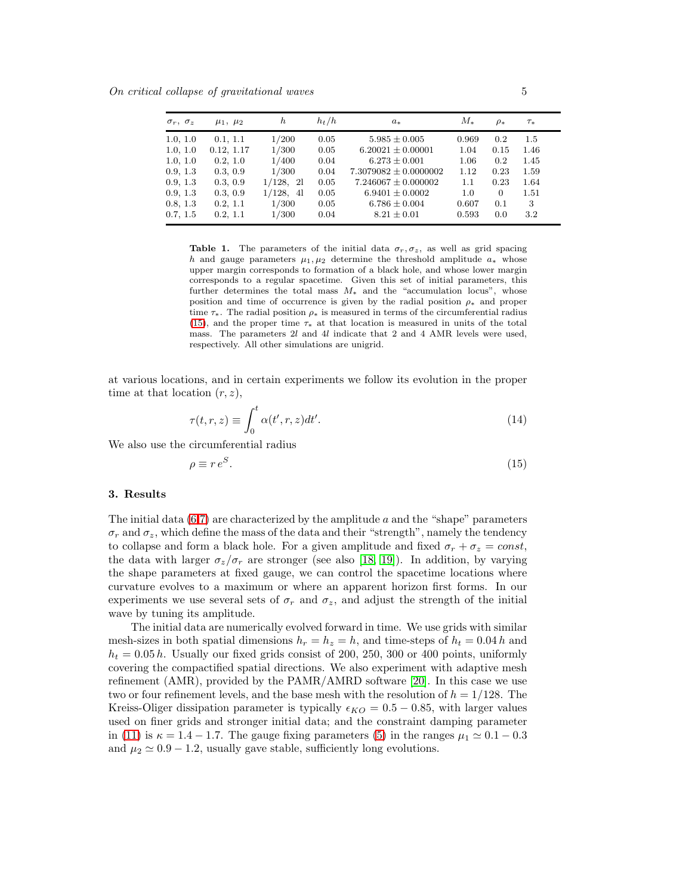On critical collapse of gravitational waves 5

| $\sigma_r$ , $\sigma_z$ | $\mu_1, \mu_2$ | h            | $h_t/h$ | $a_{*}$                   | $M_{\ast}$ | $\rho_*$ | $\tau_*$ |  |
|-------------------------|----------------|--------------|---------|---------------------------|------------|----------|----------|--|
| 1.0, 1.0                | 0.1, 1.1       | 1/200        | 0.05    | $5.985 \pm 0.005$         | 0.969      | 0.2      | 1.5      |  |
| 1.0, 1.0                | 0.12, 1.17     | 1/300        | 0.05    | $6.20021 \pm 0.00001$     | 1.04       | 0.15     | 1.46     |  |
| 1.0, 1.0                | 0.2, 1.0       | 1/400        | 0.04    | $6.273 \pm 0.001$         | 1.06       | 0.2      | 1.45     |  |
| 0.9, 1.3                | 0.3, 0.9       | 1/300        | 0.04    | $7.3079082 \pm 0.0000002$ | 1.12       | 0.23     | 1.59     |  |
| 0.9, 1.3                | 0.3, 0.9       | $1/128$ , 21 | 0.05    | $7.246067 \pm 0.000002$   | 1.1        | 0.23     | 1.64     |  |
| 0.9, 1.3                | 0.3, 0.9       | $1/128$ , 41 | 0.05    | $6.9401 \pm 0.0002$       | 1.0        | $\Omega$ | 1.51     |  |
| 0.8, 1.3                | 0.2, 1.1       | 1/300        | 0.05    | $6.786 \pm 0.004$         | 0.607      | 0.1      | 3        |  |
| 0.7, 1.5                | 0.2, 1.1       | 1/300        | 0.04    | $8.21 \pm 0.01$           | 0.593      | 0.0      | 3.2      |  |

<span id="page-4-2"></span>Table 1. The parameters of the initial data  $\sigma_r, \sigma_z$ , as well as grid spacing h and gauge parameters  $\mu_1, \mu_2$  determine the threshold amplitude  $a_*$  whose upper margin corresponds to formation of a black hole, and whose lower margin corresponds to a regular spacetime. Given this set of initial parameters, this further determines the total mass  $M_*$  and the "accumulation locus", whose position and time of occurrence is given by the radial position  $\rho_*$  and proper time  $\tau_*$ . The radial position  $\rho_*$  is measured in terms of the circumferential radius [\(15\)](#page-4-1), and the proper time  $\tau_*$  at that location is measured in units of the total mass. The parameters 2l and 4l indicate that 2 and 4 AMR levels were used, respectively. All other simulations are unigrid.

at various locations, and in certain experiments we follow its evolution in the proper time at that location  $(r, z)$ ,

$$
\tau(t,r,z) \equiv \int_0^t \alpha(t',r,z)dt'.
$$
\n(14)

We also use the circumferential radius

<span id="page-4-1"></span>
$$
\rho \equiv r \, e^S. \tag{15}
$$

#### <span id="page-4-0"></span>3. Results

The initial data  $(6,7)$  $(6,7)$  are characterized by the amplitude a and the "shape" parameters  $\sigma_r$  and  $\sigma_z$ , which define the mass of the data and their "strength", namely the tendency to collapse and form a black hole. For a given amplitude and fixed  $\sigma_r + \sigma_z = const$ , the data with larger  $\sigma_z/\sigma_r$  are stronger (see also [\[18,](#page-13-17) [19\]](#page-13-18)). In addition, by varying the shape parameters at fixed gauge, we can control the spacetime locations where curvature evolves to a maximum or where an apparent horizon first forms. In our experiments we use several sets of  $\sigma_r$  and  $\sigma_z$ , and adjust the strength of the initial wave by tuning its amplitude.

The initial data are numerically evolved forward in time. We use grids with similar mesh-sizes in both spatial dimensions  $h_r = h_z = h$ , and time-steps of  $h_t = 0.04 h$  and  $h_t = 0.05 h$ . Usually our fixed grids consist of 200, 250, 300 or 400 points, uniformly covering the compactified spatial directions. We also experiment with adaptive mesh refinement (AMR), provided by the PAMR/AMRD software [\[20\]](#page-13-19). In this case we use two or four refinement levels, and the base mesh with the resolution of  $h = 1/128$ . The Kreiss-Oliger dissipation parameter is typically  $\epsilon_{KO} = 0.5 - 0.85$ , with larger values used on finer grids and stronger initial data; and the constraint damping parameter in [\(11\)](#page-3-2) is  $\kappa = 1.4 - 1.7$ . The gauge fixing parameters [\(5\)](#page-2-4) in the ranges  $\mu_1 \simeq 0.1 - 0.3$ and  $\mu_2 \simeq 0.9 - 1.2$ , usually gave stable, sufficiently long evolutions.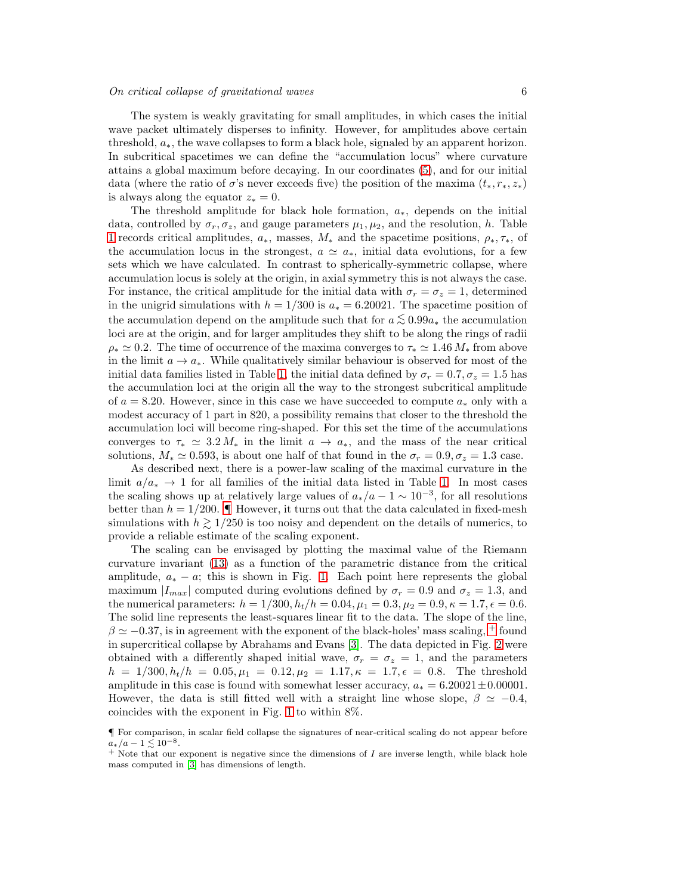The system is weakly gravitating for small amplitudes, in which cases the initial wave packet ultimately disperses to infinity. However, for amplitudes above certain threshold,  $a_*$ , the wave collapses to form a black hole, signaled by an apparent horizon. In subcritical spacetimes we can define the "accumulation locus" where curvature attains a global maximum before decaying. In our coordinates [\(5\)](#page-2-4), and for our initial data (where the ratio of  $\sigma$ 's never exceeds five) the position of the maxima  $(t_*, r_*, z_*)$ is always along the equator  $z_* = 0$ .

The threshold amplitude for black hole formation,  $a_*$ , depends on the initial data, controlled by  $\sigma_r$ ,  $\sigma_z$ , and gauge parameters  $\mu_1$ ,  $\mu_2$ , and the resolution, h. Table [1](#page-4-2) records critical amplitudes,  $a_*$ , masses,  $M_*$  and the spacetime positions,  $\rho_*, \tau_*,$  of the accumulation locus in the strongest,  $a \simeq a_{*}$ , initial data evolutions, for a few sets which we have calculated. In contrast to spherically-symmetric collapse, where accumulation locus is solely at the origin, in axial symmetry this is not always the case. For instance, the critical amplitude for the initial data with  $\sigma_r = \sigma_z = 1$ , determined in the unigrid simulations with  $h = 1/300$  is  $a_* = 6.20021$ . The spacetime position of the accumulation depend on the amplitude such that for  $a \lesssim 0.99a_*$  the accumulation loci are at the origin, and for larger amplitudes they shift to be along the rings of radii  $\rho_* \simeq 0.2$ . The time of occurrence of the maxima converges to  $\tau_* \simeq 1.46 M_*$  from above in the limit  $a \to a_*$ . While qualitatively similar behaviour is observed for most of the initial data families listed in Table [1,](#page-4-2) the initial data defined by  $\sigma_r = 0.7, \sigma_z = 1.5$  has the accumulation loci at the origin all the way to the strongest subcritical amplitude of  $a = 8.20$ . However, since in this case we have succeeded to compute  $a_*$  only with a modest accuracy of 1 part in 820, a possibility remains that closer to the threshold the accumulation loci will become ring-shaped. For this set the time of the accumulations converges to  $\tau_* \simeq 3.2 M_*$  in the limit  $a \to a_*,$  and the mass of the near critical solutions,  $M_* \simeq 0.593$ , is about one half of that found in the  $\sigma_r = 0.9$ ,  $\sigma_z = 1.3$  case.

As described next, there is a power-law scaling of the maximal curvature in the limit  $a/a_* \to 1$  for all families of the initial data listed in Table [1.](#page-4-2) In most cases the scaling shows up at relatively large values of  $a_*/a - 1 \sim 10^{-3}$ , for all resolutions better than  $h = 1/200$ .  $\blacksquare$  However, it turns out that the data calculated in fixed-mesh simulations with  $h \ge 1/250$  is too noisy and dependent on the details of numerics, to provide a reliable estimate of the scaling exponent.

The scaling can be envisaged by plotting the maximal value of the Riemann curvature invariant [\(13\)](#page-3-3) as a function of the parametric distance from the critical amplitude,  $a_* - a$ ; this is shown in Fig. [1.](#page-6-0) Each point here represents the global maximum  $|I_{max}|$  computed during evolutions defined by  $\sigma_r = 0.9$  and  $\sigma_z = 1.3$ , and the numerical parameters:  $h = 1/300$ ,  $h_t/h = 0.04$ ,  $\mu_1 = 0.3$ ,  $\mu_2 = 0.9$ ,  $\kappa = 1.7$ ,  $\epsilon = 0.6$ . The solid line represents the least-squares linear fit to the data. The slope of the line,  $\beta \simeq -0.37$ , is in agreement with the exponent of the black-holes' mass scaling, <sup>[+](#page-5-1)</sup> found in supercritical collapse by Abrahams and Evans [\[3\]](#page-13-2). The data depicted in Fig. [2](#page-6-1) were obtained with a differently shaped initial wave,  $\sigma_r = \sigma_z = 1$ , and the parameters  $h = 1/300, h_t/h = 0.05, \mu_1 = 0.12, \mu_2 = 1.17, \kappa = 1.7, \epsilon = 0.8$ . The threshold amplitude in this case is found with somewhat lesser accuracy,  $a_* = 6.20021 \pm 0.00001$ . However, the data is still fitted well with a straight line whose slope,  $\beta \simeq -0.4$ , coincides with the exponent in Fig. [1](#page-6-0) to within 8%.

<span id="page-5-0"></span><sup>¶</sup> For comparison, in scalar field collapse the signatures of near-critical scaling do not appear before  $a_*/a - 1 \lesssim 10^{-8}$ .

<span id="page-5-1"></span> $+$  Note that our exponent is negative since the dimensions of  $I$  are inverse length, while black hole mass computed in [\[3\]](#page-13-2) has dimensions of length.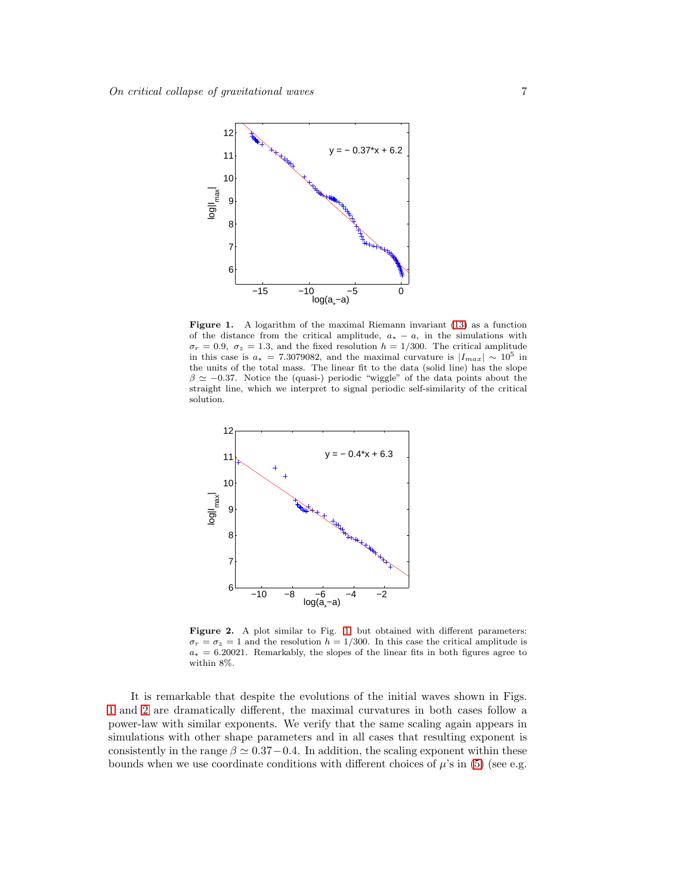

<span id="page-6-0"></span>Figure 1. A logarithm of the maximal Riemann invariant [\(13\)](#page-3-3) as a function of the distance from the critical amplitude,  $a_* - a$ , in the simulations with  $\sigma_r = 0.9$ ,  $\sigma_z = 1.3$ , and the fixed resolution  $h = 1/300$ . The critical amplitude in this case is  $a_* = 7.3079082$ , and the maximal curvature is  $|I_{max}| \sim 10^5$  in the units of the total mass. The linear fit to the data (solid line) has the slope  $\beta \simeq -0.37$ . Notice the (quasi-) periodic "wiggle" of the data points about the straight line, which we interpret to signal periodic self-similarity of the critical solution.



<span id="page-6-1"></span>Figure 2. A plot similar to Fig. [1,](#page-6-0) but obtained with different parameters:  $\sigma_r = \sigma_z = 1$  and the resolution  $h = 1/300$ . In this case the critical amplitude is  $a_* = 6.20021$ . Remarkably, the slopes of the linear fits in both figures agree to within 8%.

It is remarkable that despite the evolutions of the initial waves shown in Figs. [1](#page-6-0) and [2](#page-6-1) are dramatically different, the maximal curvatures in both cases follow a power-law with similar exponents. We verify that the same scaling again appears in simulations with other shape parameters and in all cases that resulting exponent is consistently in the range  $\beta \simeq 0.37-0.4$ . In addition, the scaling exponent within these bounds when we use coordinate conditions with different choices of  $\mu$ 's in [\(5\)](#page-2-4) (see e.g.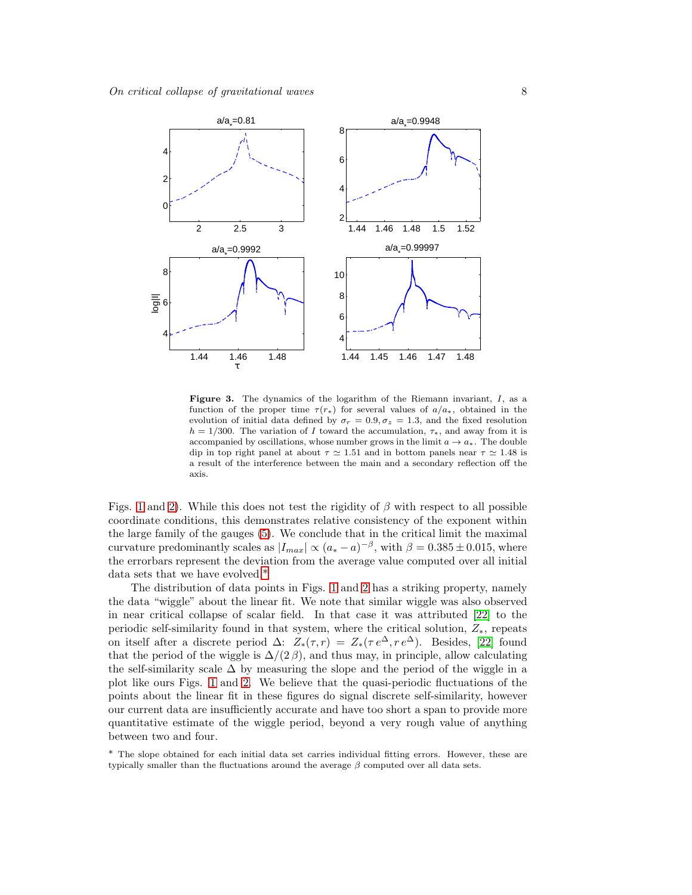

<span id="page-7-1"></span>Figure 3. The dynamics of the logarithm of the Riemann invariant, I, as a function of the proper time  $\tau(r_*)$  for several values of  $a/a_*$ , obtained in the evolution of initial data defined by  $\sigma_r = 0.9, \sigma_z = 1.3$ , and the fixed resolution  $h = 1/300$ . The variation of I toward the accumulation,  $\tau_*$ , and away from it is accompanied by oscillations, whose number grows in the limit  $a \to a_*$ . The double dip in top right panel at about  $\tau \simeq 1.51$  and in bottom panels near  $\tau \simeq 1.48$  is a result of the interference between the main and a secondary reflection off the axis.

Figs. [1](#page-6-0) and [2\)](#page-6-1). While this does not test the rigidity of  $\beta$  with respect to all possible coordinate conditions, this demonstrates relative consistency of the exponent within the large family of the gauges [\(5\)](#page-2-4). We conclude that in the critical limit the maximal curvature predominantly scales as  $|I_{max}| \propto (a_* - a)^{-\beta}$ , with  $\beta = 0.385 \pm 0.015$ , where the errorbars represent the deviation from the average value computed over all initial data sets that we have evolved.[∗](#page-7-0)

The distribution of data points in Figs. [1](#page-6-0) and [2](#page-6-1) has a striking property, namely the data "wiggle" about the linear fit. We note that similar wiggle was also observed in near critical collapse of scalar field. In that case it was attributed [\[22\]](#page-13-20) to the periodic self-similarity found in that system, where the critical solution,  $Z_*$ , repeats on itself after a discrete period  $\Delta$ :  $Z_*(\tau, r) = Z_*(\tau e^{\Delta}, r e^{\Delta})$ . Besides, [\[22\]](#page-13-20) found that the period of the wiggle is  $\Delta/(2 \beta)$ , and thus may, in principle, allow calculating the self-similarity scale  $\Delta$  by measuring the slope and the period of the wiggle in a plot like ours Figs. [1](#page-6-0) and [2.](#page-6-1) We believe that the quasi-periodic fluctuations of the points about the linear fit in these figures do signal discrete self-similarity, however our current data are insufficiently accurate and have too short a span to provide more quantitative estimate of the wiggle period, beyond a very rough value of anything between two and four.

<span id="page-7-0"></span>∗ The slope obtained for each initial data set carries individual fitting errors. However, these are typically smaller than the fluctuations around the average  $\beta$  computed over all data sets.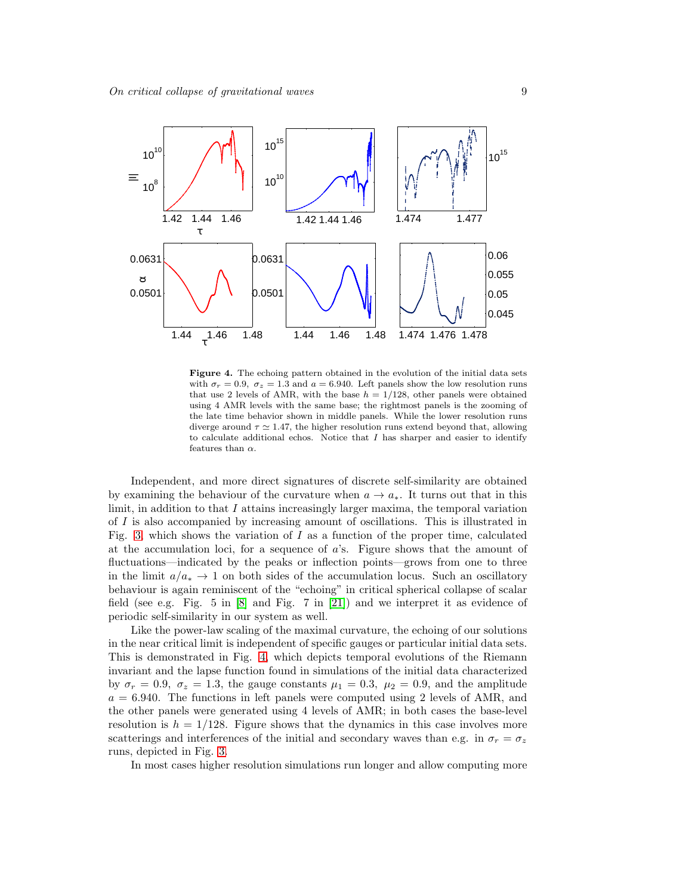

<span id="page-8-0"></span>Figure 4. The echoing pattern obtained in the evolution of the initial data sets with  $\sigma_r = 0.9$ ,  $\sigma_z = 1.3$  and  $a = 6.940$ . Left panels show the low resolution runs that use 2 levels of AMR, with the base  $h = 1/128$ , other panels were obtained using 4 AMR levels with the same base; the rightmost panels is the zooming of the late time behavior shown in middle panels. While the lower resolution runs diverge around  $\tau \simeq 1.47$ , the higher resolution runs extend beyond that, allowing to calculate additional echos. Notice that  $I$  has sharper and easier to identify features than  $\alpha$ .

Independent, and more direct signatures of discrete self-similarity are obtained by examining the behaviour of the curvature when  $a \to a_*$ . It turns out that in this limit, in addition to that  $I$  attains increasingly larger maxima, the temporal variation of I is also accompanied by increasing amount of oscillations. This is illustrated in Fig. [3,](#page-7-1) which shows the variation of  $I$  as a function of the proper time, calculated at the accumulation loci, for a sequence of  $a$ 's. Figure shows that the amount of fluctuations—indicated by the peaks or inflection points—grows from one to three in the limit  $a/a_* \to 1$  on both sides of the accumulation locus. Such an oscillatory behaviour is again reminiscent of the "echoing" in critical spherical collapse of scalar field (see e.g. Fig. 5 in  $[8]$  and Fig. 7 in  $[21]$ ) and we interpret it as evidence of periodic self-similarity in our system as well.

Like the power-law scaling of the maximal curvature, the echoing of our solutions in the near critical limit is independent of specific gauges or particular initial data sets. This is demonstrated in Fig. [4,](#page-8-0) which depicts temporal evolutions of the Riemann invariant and the lapse function found in simulations of the initial data characterized by  $\sigma_r = 0.9$ ,  $\sigma_z = 1.3$ , the gauge constants  $\mu_1 = 0.3$ ,  $\mu_2 = 0.9$ , and the amplitude  $a = 6.940$ . The functions in left panels were computed using 2 levels of AMR, and the other panels were generated using 4 levels of AMR; in both cases the base-level resolution is  $h = 1/128$ . Figure shows that the dynamics in this case involves more scatterings and interferences of the initial and secondary waves than e.g. in  $\sigma_r = \sigma_z$ runs, depicted in Fig. [3.](#page-7-1)

In most cases higher resolution simulations run longer and allow computing more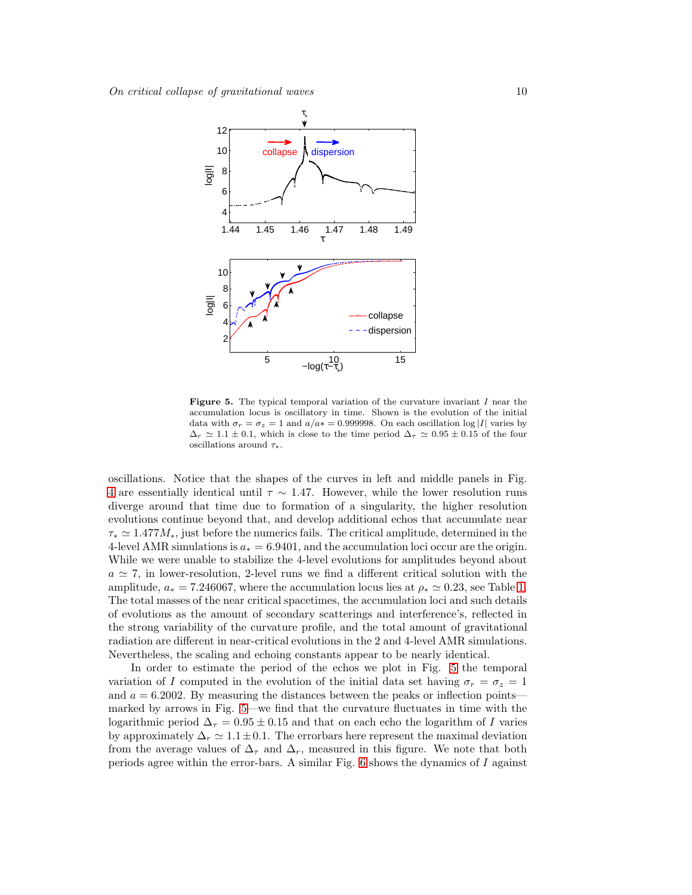

<span id="page-9-0"></span>Figure 5. The typical temporal variation of the curvature invariant  $I$  near the accumulation locus is oscillatory in time. Shown is the evolution of the initial data with  $\sigma_r = \sigma_z = 1$  and  $a/a* = 0.999998$ . On each oscillation log |I| varies by  $\Delta_r \simeq 1.1 \pm 0.1$ , which is close to the time period  $\Delta_{\tau} \simeq 0.95 \pm 0.15$  of the four oscillations around  $\tau_*$ .

oscillations. Notice that the shapes of the curves in left and middle panels in Fig. [4](#page-8-0) are essentially identical until  $\tau \sim 1.47$ . However, while the lower resolution runs diverge around that time due to formation of a singularity, the higher resolution evolutions continue beyond that, and develop additional echos that accumulate near  $\tau_* \simeq 1.477 M_*$ , just before the numerics fails. The critical amplitude, determined in the 4-level AMR simulations is  $a_* = 6.9401$ , and the accumulation loci occur are the origin. While we were unable to stabilize the 4-level evolutions for amplitudes beyond about  $a \simeq 7$ , in lower-resolution, 2-level runs we find a different critical solution with the amplitude,  $a_* = 7.246067$ , where the accumulation locus lies at  $\rho_* \simeq 0.23$ , see Table [1.](#page-4-2) The total masses of the near critical spacetimes, the accumulation loci and such details of evolutions as the amount of secondary scatterings and interference's, reflected in the strong variability of the curvature profile, and the total amount of gravitational radiation are different in near-critical evolutions in the 2 and 4-level AMR simulations. Nevertheless, the scaling and echoing constants appear to be nearly identical.

In order to estimate the period of the echos we plot in Fig. [5](#page-9-0) the temporal variation of I computed in the evolution of the initial data set having  $\sigma_r = \sigma_z = 1$ and  $a = 6.2002$ . By measuring the distances between the peaks or inflection points marked by arrows in Fig. [5—](#page-9-0)we find that the curvature fluctuates in time with the logarithmic period  $\Delta_{\tau} = 0.95 \pm 0.15$  and that on each echo the logarithm of I varies by approximately  $\Delta_r \simeq 1.1 \pm 0.1$ . The errorbars here represent the maximal deviation from the average values of  $\Delta_{\tau}$  and  $\Delta_{r}$ , measured in this figure. We note that both periods agree within the error-bars. A similar Fig.  $6$  shows the dynamics of I against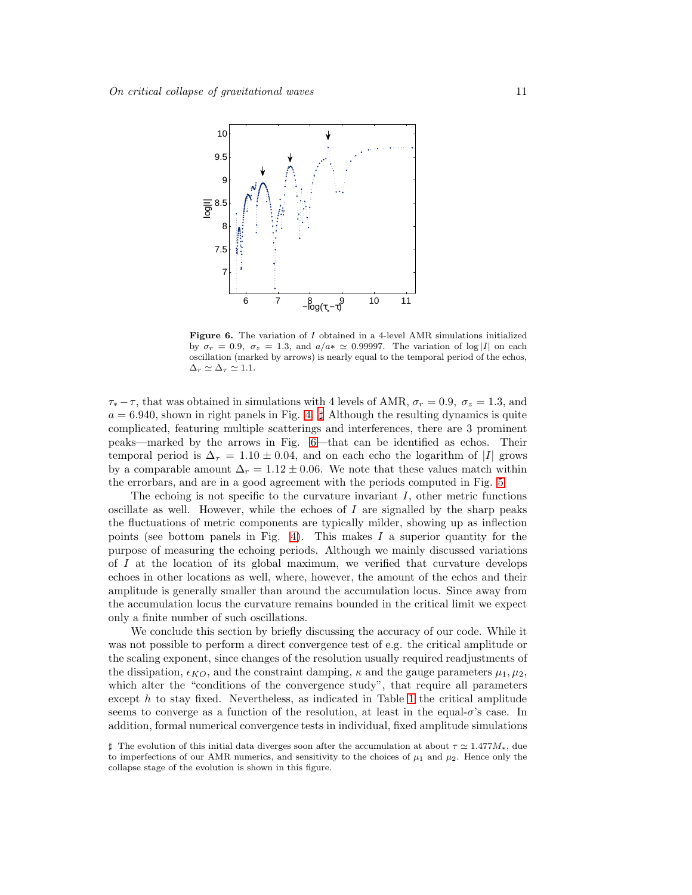

<span id="page-10-0"></span>Figure 6. The variation of I obtained in a 4-level AMR simulations initialized by  $\sigma_r = 0.9$ ,  $\sigma_z = 1.3$ , and  $a/a \approx 0.99997$ . The variation of log |I| on each oscillation (marked by arrows) is nearly equal to the temporal period of the echos,  $\Delta_r \simeq \Delta_\tau \simeq 1.1.$ 

 $\tau_* - \tau$ , that was obtained in simulations with 4 levels of AMR,  $\sigma_r = 0.9$ ,  $\sigma_z = 1.3$ , and  $a = 6.940$ , shown in right panels in Fig. [4.](#page-8-0)  $\sharp$  Although the resulting dynamics is quite complicated, featuring multiple scatterings and interferences, there are 3 prominent peaks—marked by the arrows in Fig. [6—](#page-10-0)that can be identified as echos. Their temporal period is  $\Delta_{\tau} = 1.10 \pm 0.04$ , and on each echo the logarithm of |I| grows by a comparable amount  $\Delta_r = 1.12 \pm 0.06$ . We note that these values match within the errorbars, and are in a good agreement with the periods computed in Fig. [5.](#page-9-0)

The echoing is not specific to the curvature invariant  $I$ , other metric functions oscillate as well. However, while the echoes of  $I$  are signalled by the sharp peaks the fluctuations of metric components are typically milder, showing up as inflection points (see bottom panels in Fig. [4\)](#page-8-0). This makes  $I$  a superior quantity for the purpose of measuring the echoing periods. Although we mainly discussed variations of I at the location of its global maximum, we verified that curvature develops echoes in other locations as well, where, however, the amount of the echos and their amplitude is generally smaller than around the accumulation locus. Since away from the accumulation locus the curvature remains bounded in the critical limit we expect only a finite number of such oscillations.

We conclude this section by briefly discussing the accuracy of our code. While it was not possible to perform a direct convergence test of e.g. the critical amplitude or the scaling exponent, since changes of the resolution usually required readjustments of the dissipation,  $\epsilon_{KO}$ , and the constraint damping,  $\kappa$  and the gauge parameters  $\mu_1, \mu_2$ , which alter the "conditions of the convergence study", that require all parameters except  $h$  to stay fixed. Nevertheless, as indicated in Table [1](#page-4-2) the critical amplitude seems to converge as a function of the resolution, at least in the equal- $\sigma$ 's case. In addition, formal numerical convergence tests in individual, fixed amplitude simulations

<span id="page-10-1"></span> $\sharp$  The evolution of this initial data diverges soon after the accumulation at about  $\tau \approx 1.477M_*$ , due to imperfections of our AMR numerics, and sensitivity to the choices of  $\mu_1$  and  $\mu_2$ . Hence only the collapse stage of the evolution is shown in this figure.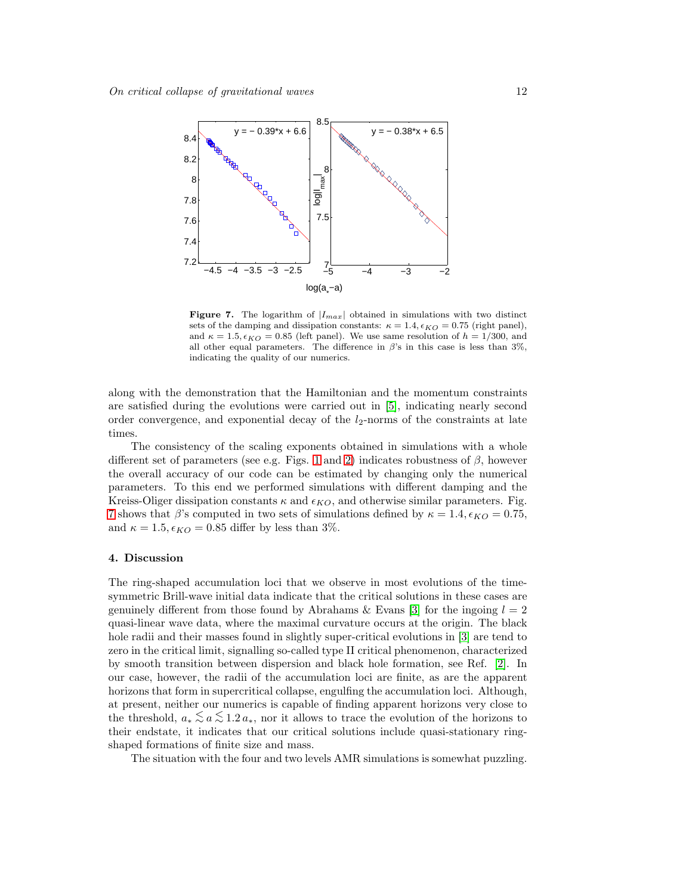

<span id="page-11-1"></span>Figure 7. The logarithm of  $|I_{max}|$  obtained in simulations with two distinct sets of the damping and dissipation constants:  $\kappa = 1.4, \epsilon_{KO} = 0.75$  (right panel), and  $\kappa = 1.5, \epsilon_{KO} = 0.85$  (left panel). We use same resolution of  $h = 1/300$ , and all other equal parameters. The difference in  $\beta$ 's in this case is less than 3%, indicating the quality of our numerics.

along with the demonstration that the Hamiltonian and the momentum constraints are satisfied during the evolutions were carried out in [\[5\]](#page-13-4), indicating nearly second order convergence, and exponential decay of the  $l_2$ -norms of the constraints at late times.

The consistency of the scaling exponents obtained in simulations with a whole different set of parameters (see e.g. Figs. [1](#page-6-0) and [2\)](#page-6-1) indicates robustness of  $\beta$ , however the overall accuracy of our code can be estimated by changing only the numerical parameters. To this end we performed simulations with different damping and the Kreiss-Oliger dissipation constants  $\kappa$  and  $\epsilon_{KO}$ , and otherwise similar parameters. Fig. [7](#page-11-1) shows that  $\beta$ 's computed in two sets of simulations defined by  $\kappa = 1.4, \epsilon_{KO} = 0.75$ , and  $\kappa = 1.5$ ,  $\epsilon_{KO} = 0.85$  differ by less than 3%.

## <span id="page-11-0"></span>4. Discussion

The ring-shaped accumulation loci that we observe in most evolutions of the timesymmetric Brill-wave initial data indicate that the critical solutions in these cases are genuinely different from those found by Abrahams & Evans [\[3\]](#page-13-2) for the ingoing  $l = 2$ quasi-linear wave data, where the maximal curvature occurs at the origin. The black hole radii and their masses found in slightly super-critical evolutions in [\[3\]](#page-13-2) are tend to zero in the critical limit, signalling so-called type II critical phenomenon, characterized by smooth transition between dispersion and black hole formation, see Ref. [\[2\]](#page-13-1). In our case, however, the radii of the accumulation loci are finite, as are the apparent horizons that form in supercritical collapse, engulfing the accumulation loci. Although, at present, neither our numerics is capable of finding apparent horizons very close to the threshold,  $a_* \leq a \leq 1.2 a_*$ , nor it allows to trace the evolution of the horizons to their endstate, it indicates that our critical solutions include quasi-stationary ringshaped formations of finite size and mass.

The situation with the four and two levels AMR simulations is somewhat puzzling.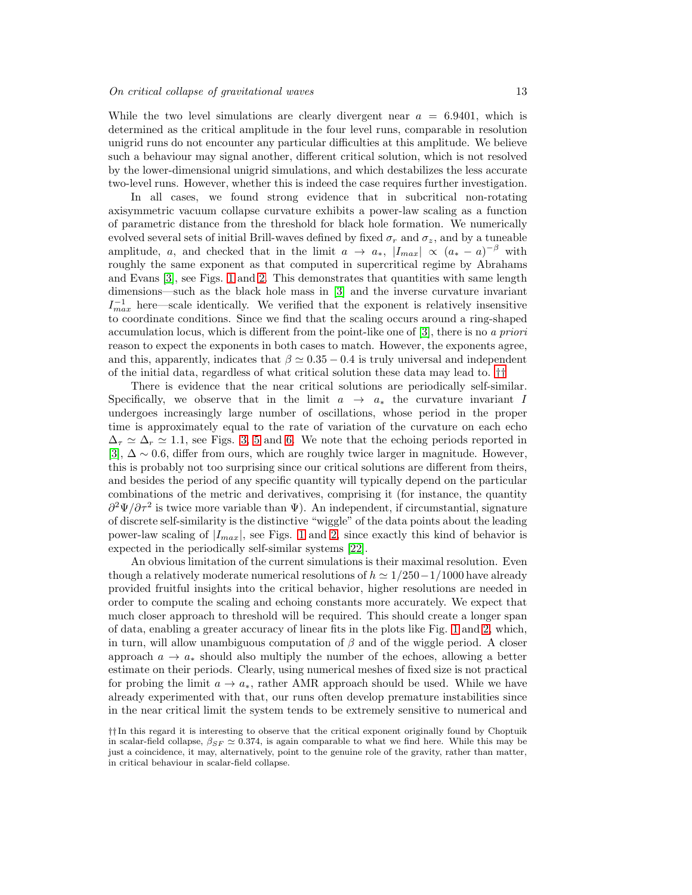While the two level simulations are clearly divergent near  $a = 6.9401$ , which is determined as the critical amplitude in the four level runs, comparable in resolution unigrid runs do not encounter any particular difficulties at this amplitude. We believe such a behaviour may signal another, different critical solution, which is not resolved by the lower-dimensional unigrid simulations, and which destabilizes the less accurate two-level runs. However, whether this is indeed the case requires further investigation.

In all cases, we found strong evidence that in subcritical non-rotating axisymmetric vacuum collapse curvature exhibits a power-law scaling as a function of parametric distance from the threshold for black hole formation. We numerically evolved several sets of initial Brill-waves defined by fixed  $\sigma_r$  and  $\sigma_z$ , and by a tuneable amplitude, a, and checked that in the limit  $a \rightarrow a_*$ ,  $|I_{max}| \propto (a_* - a)^{-\beta}$  with roughly the same exponent as that computed in supercritical regime by Abrahams and Evans [\[3\]](#page-13-2), see Figs. [1](#page-6-0) and [2.](#page-6-1) This demonstrates that quantities with same length dimensions—such as the black hole mass in [\[3\]](#page-13-2) and the inverse curvature invariant  $I_{max}^{-1}$  here—scale identically. We verified that the exponent is relatively insensitive to coordinate conditions. Since we find that the scaling occurs around a ring-shaped accumulation locus, which is different from the point-like one of [\[3\]](#page-13-2), there is no a priori reason to expect the exponents in both cases to match. However, the exponents agree, and this, apparently, indicates that  $\beta \simeq 0.35 - 0.4$  is truly universal and independent of the initial data, regardless of what critical solution these data may lead to. [††](#page-12-0)

There is evidence that the near critical solutions are periodically self-similar. Specifically, we observe that in the limit  $a \rightarrow a_*$  the curvature invariant I undergoes increasingly large number of oscillations, whose period in the proper time is approximately equal to the rate of variation of the curvature on each echo  $\Delta_{\tau} \simeq \Delta_r \simeq 1.1$ , see Figs. [3,](#page-7-1) [5](#page-9-0) and [6.](#page-10-0) We note that the echoing periods reported in [\[3\]](#page-13-2),  $\Delta \sim 0.6$ , differ from ours, which are roughly twice larger in magnitude. However, this is probably not too surprising since our critical solutions are different from theirs, and besides the period of any specific quantity will typically depend on the particular combinations of the metric and derivatives, comprising it (for instance, the quantity  $\partial^2\Psi/\partial\tau^2$  is twice more variable than  $\Psi$ ). An independent, if circumstantial, signature of discrete self-similarity is the distinctive "wiggle" of the data points about the leading power-law scaling of  $|I_{max}|$ , see Figs. [1](#page-6-0) and [2,](#page-6-1) since exactly this kind of behavior is expected in the periodically self-similar systems [\[22\]](#page-13-20).

An obvious limitation of the current simulations is their maximal resolution. Even though a relatively moderate numerical resolutions of  $h \approx 1/250-1/1000$  have already provided fruitful insights into the critical behavior, higher resolutions are needed in order to compute the scaling and echoing constants more accurately. We expect that much closer approach to threshold will be required. This should create a longer span of data, enabling a greater accuracy of linear fits in the plots like Fig. [1](#page-6-0) and [2,](#page-6-1) which, in turn, will allow unambiguous computation of  $\beta$  and of the wiggle period. A closer approach  $a \to a_*$  should also multiply the number of the echoes, allowing a better estimate on their periods. Clearly, using numerical meshes of fixed size is not practical for probing the limit  $a \to a_*$ , rather AMR approach should be used. While we have already experimented with that, our runs often develop premature instabilities since in the near critical limit the system tends to be extremely sensitive to numerical and

<span id="page-12-0"></span><sup>††</sup> In this regard it is interesting to observe that the critical exponent originally found by Choptuik in scalar-field collapse,  $\beta_{SF} \simeq 0.374$ , is again comparable to what we find here. While this may be just a coincidence, it may, alternatively, point to the genuine role of the gravity, rather than matter, in critical behaviour in scalar-field collapse.